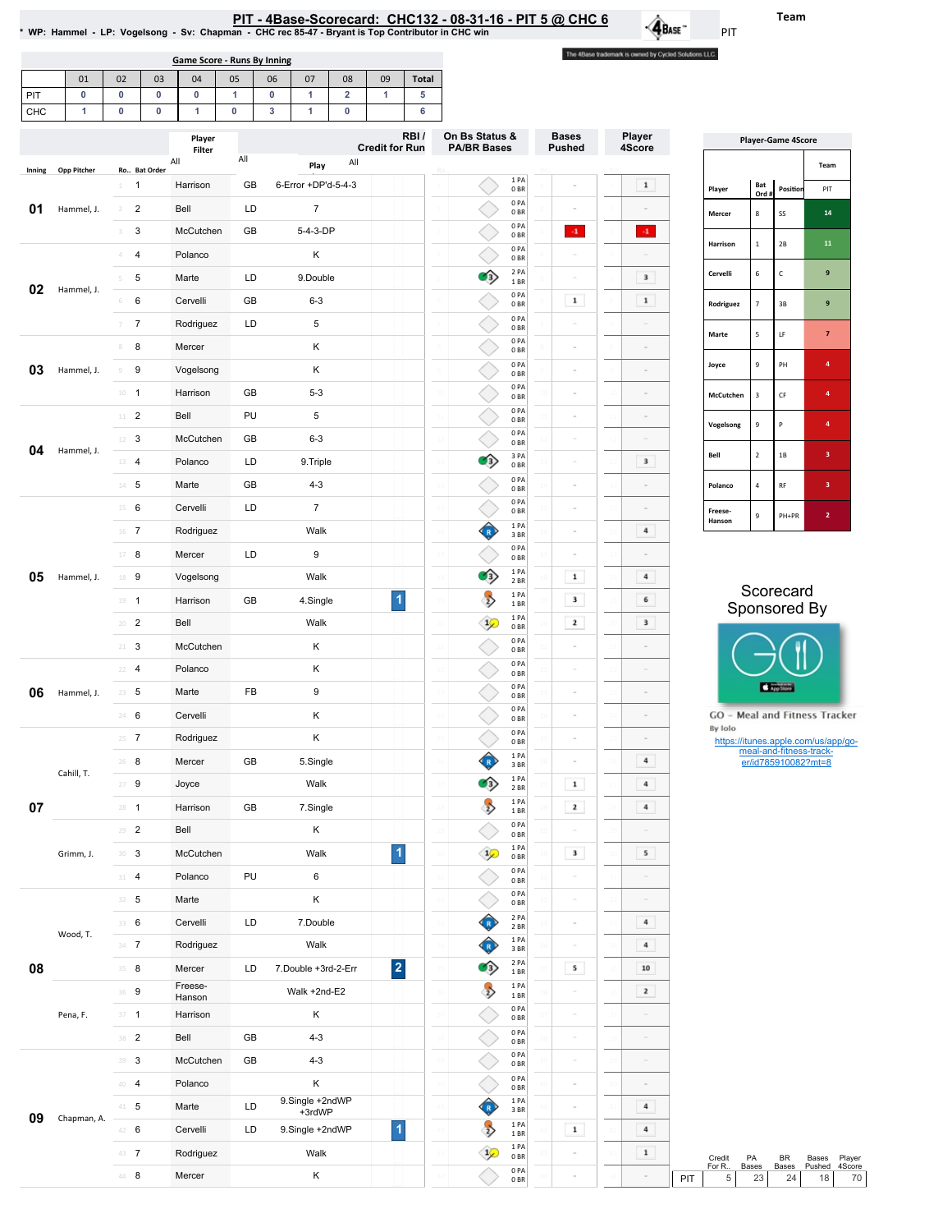# PIT - 4Base-Scorecard: CHC132 - 08-31-16 - PIT 5 @ CHC 6 يوم PIT - 4Base-Scorecard: CHC132 - 08-31-16<br>WP: Hammel - LP: Vogelsong - Sv: Chapman - CHC rec 85-47 - Bryant is Top Contributor in CHC win \*

01 02 03 04 05 06 07 08 09 Total

Game Score - Runs By Inning

The 4Base trademark is owned by Cycled Solutions LLC.

 $\cdot \hat{\mathbf{A}}_{\text{Base}}$ 

| PIT                                | $\pmb{0}$   | $\mathbf 0$     | 0              | 0                                | $\overline{1}$ | $\mathbf 0$                       | $\mathbf{1}$              | $\overline{2}$ | $\overline{1}$                     | 5 |                                      |                                       |                               |                  |                                          |                         |                                                |                                     |
|------------------------------------|-------------|-----------------|----------------|----------------------------------|----------------|-----------------------------------|---------------------------|----------------|------------------------------------|---|--------------------------------------|---------------------------------------|-------------------------------|------------------|------------------------------------------|-------------------------|------------------------------------------------|-------------------------------------|
| $\mathbf{1}$<br>$\mathbf 0$<br>CHC |             |                 | $\pmb{0}$      | $\mathbf{1}$<br>Player<br>Filter | $\mathbf 0$    | $\mathbf{3}$<br>$\mathbf{1}$<br>0 |                           |                | 6<br>RBI/<br><b>Credit for Run</b> |   | On Bs Status &<br><b>PA/BR Bases</b> |                                       | <b>Bases</b><br><b>Pushed</b> | Player<br>4Score | <b>Player-Game 4Score</b>                |                         |                                                |                                     |
| Inning                             | Opp Pitcher |                 | Ro Bat Order   | All                              | All            |                                   | Play                      | All            |                                    |   |                                      |                                       |                               |                  |                                          |                         |                                                | Team                                |
|                                    |             | 1               | $\overline{1}$ | Harrison                         |                | GB                                | 6-Error +DP'd-5-4-3       |                |                                    |   |                                      | 1 PA<br>0B                            |                               | $\mathbf 1$      | Player                                   | Bat<br>Ord #            | Position                                       | PIT                                 |
| 01                                 | Hammel, J.  | $\overline{2}$  | $\overline{2}$ | Bell                             |                | LD                                | $\boldsymbol{7}$          |                |                                    |   |                                      | 0PA<br>0B                             |                               |                  | Mercer                                   | $\bf8$                  | SS                                             | ${\bf 14}$                          |
|                                    |             | 3               | 3              | McCutchen                        |                | GB                                | 5-4-3-DP                  |                |                                    |   |                                      | 0PA<br>0B                             | $\{1\}$                       | $\{1\}$          |                                          |                         |                                                |                                     |
|                                    |             | 4               | 4              | Polanco                          |                |                                   | Κ                         |                |                                    |   |                                      | 0PA<br>0BR                            | $\sim$                        |                  | Harrison                                 | $\,1\,$                 | $2\mathsf{B}$                                  | ${\bf 11}$                          |
|                                    |             | $5 -$           | 5              | Marte                            |                | LD                                | 9.Double                  |                |                                    |   | $\bullet$                            | 2 PA<br>1 BR                          | $\equiv$                      | $\mathbf 3$      | Cervelli                                 | 6                       | c                                              | $\boldsymbol{9}$                    |
| 02<br>Hammel, J.                   | 6           | 6               | Cervelli       | GB                               |                | $6 - 3$                           |                           |                |                                    |   | 0 PA<br>0 BR                         | $\mathbf 1$                           | $\mathbf 1$                   | Rodriguez        | $\overline{7}$                           | 3B                      | $\boldsymbol{9}$                               |                                     |
|                                    |             | $\mathcal{I}$   | $\overline{7}$ | Rodriguez                        |                | LD                                | 5                         |                |                                    |   |                                      | 0PA<br>0 BR                           | $\sim$                        |                  |                                          |                         |                                                |                                     |
|                                    |             | 8               | 8              | Mercer                           |                |                                   | Κ                         |                |                                    |   |                                      | 0 PA<br>0 BR                          |                               |                  | Marte                                    | $\sf 5$                 | LF                                             | $\overline{7}$                      |
| 03                                 | Hammel, J.  | 9               | 9              | Vogelsong                        |                |                                   | Κ                         |                |                                    |   |                                      | 0 PA                                  |                               |                  | Joyce                                    | 9                       | PH                                             | $\overline{4}$                      |
|                                    |             | $10 - 1$        |                | Harrison                         |                | GB                                | $5 - 3$                   |                |                                    |   |                                      | 0 BR<br>0 PA                          |                               |                  | McCutchen                                | $\overline{\mathbf{3}}$ | $\mathsf{CF}$                                  | $\overline{4}$                      |
|                                    |             | $11$ 2          |                | Bell                             |                | PU                                | $\,$ 5 $\,$               |                |                                    |   |                                      | 0 BR<br>0PA                           | $\sim$                        |                  |                                          |                         |                                                |                                     |
|                                    |             | $12 \t3$        |                | McCutchen                        | GB             |                                   | $6 - 3$                   |                |                                    |   |                                      | 0 BR<br>0PA                           | $\sim$                        | $\sim$           | Vogelsong                                | 9                       | P                                              | $\overline{4}$                      |
| 04                                 | Hammel, J.  |                 |                |                                  |                |                                   |                           |                |                                    |   | Ø}                                   | 0 BR<br>3 PA                          | $\sim$                        | $\mathbf 3$      | Bell                                     | $\overline{2}$          | $1\mathrm{B}$                                  | $\mathbf{3}$                        |
|                                    |             | $13 - 4$        |                | Polanco                          |                | LD                                | 9.Triple                  |                |                                    |   |                                      | 0B<br>0PA                             |                               | $\alpha$         |                                          |                         |                                                |                                     |
|                                    |             | $14 - 5$        |                | Marte                            | GB             |                                   | $4 - 3$                   |                |                                    |   |                                      | 0 BR<br>0 PA                          | $\sim$                        |                  | Polanco                                  | $\sqrt{4}$              | $\mathsf{RF}$                                  | $\mathbf{3}$                        |
|                                    |             | $15 \t 6$       |                | Cervelli                         |                | LD                                | $\overline{7}$            |                |                                    |   |                                      | 0B<br>1PA                             | $\sim$                        |                  | Freese-<br>Hanson                        | 9                       | PH+PR                                          | $\mathbf{2}$                        |
|                                    |             | $16$ 7          |                | Rodriguez                        |                |                                   | Walk                      |                |                                    |   | ♦                                    | 3 BR<br>0 PA                          |                               | $\bf{4}$         |                                          |                         |                                                |                                     |
|                                    | Hammel, J.  | $17 - 8$        |                | Mercer                           |                | LD                                | $\boldsymbol{9}$          |                |                                    |   |                                      | 0B<br>1PA                             |                               |                  |                                          |                         |                                                |                                     |
| 05                                 |             | 18 9            |                | Vogelsong                        |                |                                   | Walk                      |                |                                    |   | ø                                    | 2 BR<br>1 PA                          | $\mathbf 1$                   | $\bf{4}$         |                                          |                         | Scorecard                                      |                                     |
|                                    |             | $19 - 1$        |                | Harrison                         |                | GB                                | 4.Single                  |                | $\vert$ 1                          |   | $\rightarrow$                        | 1 BR                                  | 3                             | 6                | Sponsored By                             |                         |                                                |                                     |
|                                    |             | $20 - 2$        |                | Bell                             |                |                                   | Walk                      |                |                                    |   | $\mathcal{L}$                        | 1 PA<br>0BR                           | $\mathbf{z}$                  | $\mathbf 3$      |                                          |                         |                                                |                                     |
|                                    |             | $21 - 3$        |                | McCutchen                        |                |                                   | Κ                         |                |                                    |   |                                      | 0PA<br>0BR                            | $\equiv$                      |                  |                                          |                         |                                                |                                     |
|                                    |             | $22 - 4$        |                | Polanco                          |                |                                   | Κ                         |                |                                    |   |                                      | 0PA<br>0BR                            | $\equiv$                      |                  |                                          |                         |                                                |                                     |
| 06                                 | Hammel, J.  | $23 - 5$        |                | Marte                            |                | FB                                | 9                         |                |                                    |   |                                      | 0 PA<br>0 BR                          |                               |                  |                                          |                         | App Store                                      |                                     |
|                                    |             | 24 6            |                | Cervelli                         |                |                                   | Κ                         |                |                                    |   |                                      | 0 PA<br>0 <sub>BR</sub>               |                               |                  | GO - Meal and Fitness Tracker<br>By Iolo |                         |                                                |                                     |
|                                    |             | $25 \t 7$       |                | Rodriguez                        |                |                                   | Κ                         |                |                                    |   |                                      | 0 PA<br>0B                            | $\sim$                        | $\sim$           |                                          |                         | https://itunes.apple.com/us/app/go-            |                                     |
|                                    |             | $26 - 8$        |                | Mercer                           |                | GB                                | 5.Single                  |                |                                    |   | U                                    | 1PA<br>3 BR                           | $\sim$                        | 4                |                                          |                         | meal-and-fitness-track-<br>er/id785910082?mt=8 |                                     |
|                                    | Cahill, T.  |                 | 9              | Joyce                            |                |                                   | Walk                      |                |                                    |   | $\bullet$                            | 1 PA<br>2 BR                          | $\mathbf 1$                   | $\,$ 4 $\,$      |                                          |                         |                                                |                                     |
| 07                                 |             | $28 - 1$        |                | Harrison                         |                | GB                                | 7.Single                  |                |                                    |   | $\rightarrow$                        | 1 PA<br>1 BR                          | $\mathbf{2}^-$                | $\bf{4}$         |                                          |                         |                                                |                                     |
|                                    |             | $29 - 2$        |                | Bell                             |                |                                   | Κ                         |                |                                    |   |                                      | 0 PA<br>$0\;\mathrm{BR}$              | $\sim$                        | $\sim$           |                                          |                         |                                                |                                     |
|                                    | Grimm, J.   | 30 <sup>3</sup> |                | McCutchen                        |                |                                   | Walk                      |                | $\vert$                            |   | $\mathcal{P}$                        | 1 PA<br>0B                            | $\mathbf 3$                   | 5                |                                          |                         |                                                |                                     |
|                                    |             | $31 - 4$        |                | Polanco                          |                | PU                                | 6                         |                |                                    |   |                                      | 0 PA<br>0 BR                          | $\sim$                        |                  |                                          |                         |                                                |                                     |
|                                    |             | $32 - 5$        |                | Marte                            |                |                                   | Κ                         |                |                                    |   |                                      | 0 PA<br>$0\;\ensuremath{\mathsf{BR}}$ |                               |                  |                                          |                         |                                                |                                     |
|                                    |             | 33 6            |                | Cervelli                         |                | LD                                | 7.Double                  |                |                                    |   | ♦                                    | 2 PA<br>$2$ BR $\,$                   |                               | $\bf{4}$         |                                          |                         |                                                |                                     |
|                                    | Wood, T.    | $34$ 7          |                | Rodriguez                        |                |                                   | Walk                      |                |                                    |   | Ĝ                                    | $1\ \mathsf{PA}$<br>3 BR              |                               | $\bf{4}$         |                                          |                         |                                                |                                     |
| 08                                 |             | 35 8            |                | Mercer                           |                | LD                                | 7.Double +3rd-2-Err       |                | $\overline{\mathbf{2}}$            |   | Ø}                                   | $2\ \mathsf{PA}$<br>1 BR              | 5                             | 10               |                                          |                         |                                                |                                     |
|                                    |             | 36 9            |                | Freese-                          |                |                                   | Walk +2nd-E2              |                |                                    |   | $\rightarrow$                        | 1PA<br>1 BR                           |                               | $\mathbf{2}$     |                                          |                         |                                                |                                     |
|                                    | Pena, F.    | $37 - 1$        |                | Hanson<br>Harrison               |                |                                   | Κ                         |                |                                    |   |                                      | 0 PA<br>0B                            | $\sim$                        |                  |                                          |                         |                                                |                                     |
|                                    |             | $38$ 2          |                | Bell                             |                | GB                                | $4 - 3$                   |                |                                    |   |                                      | 0 PA                                  | $\sim$                        | $\bar{a}$        |                                          |                         |                                                |                                     |
|                                    |             | 39 3            |                | McCutchen                        |                | GB                                | $4 - 3$                   |                |                                    |   |                                      | 0B<br>0 PA                            |                               |                  |                                          |                         |                                                |                                     |
|                                    |             | 40 4            |                | Polanco                          |                |                                   | Κ                         |                |                                    |   |                                      | $0\;\mathrm{BR}$<br>0 PA              |                               | $\bar{a}$        |                                          |                         |                                                |                                     |
|                                    |             | $41 - 5$        |                | Marte                            |                | LD                                | 9.Single +2ndWP           |                |                                    |   |                                      | $0\;\mathrm{BR}$<br>$1\ \mathsf{PA}$  | $\sim$                        | $\bf{4}$         |                                          |                         |                                                |                                     |
| 09                                 | Chapman, A. | 42 6            |                | Cervelli                         |                | LD                                | +3rdWP<br>9.Single +2ndWP |                | $\vert$                            |   | G<br>$\rightarrow$                   | 3 BR<br>$1\ \mathsf{PA}$              | $\mathbf 1$                   | $\bf{4}$         |                                          |                         |                                                |                                     |
|                                    |             |                 |                |                                  |                |                                   |                           |                |                                    |   |                                      | $1\,\mathrm{BR}$<br>$1\ \mathsf{PA}$  |                               |                  |                                          |                         |                                                |                                     |
|                                    |             | $43 - 7$        |                | Rodriguez                        |                |                                   | Walk                      |                |                                    |   | $\mathcal{P}$                        | 0 B R<br>$0$ PA                       | $\sim$                        | $\mathbf 1$      | Credit<br>For R                          | PA<br>Bases             | BR<br>Bases                                    | Player<br>Bases<br>4Score<br>Pushed |
|                                    |             | $44$ 8          |                | Mercer                           |                |                                   | Κ                         |                |                                    |   |                                      | 0B                                    |                               |                  | $\,$ 5 $\,$<br>PIT                       | 23                      | 24                                             | 18                                  |

| <b>Player-Game 4Score</b> |                         |           |                |  |  |  |  |  |  |
|---------------------------|-------------------------|-----------|----------------|--|--|--|--|--|--|
|                           |                         |           | Team           |  |  |  |  |  |  |
| Player                    | Bat<br>Ord#             | Position  | PIT            |  |  |  |  |  |  |
| Mercer                    | 8                       | SS        | 14             |  |  |  |  |  |  |
| Harrison                  | $\mathbf{1}$            | 2B        | 11             |  |  |  |  |  |  |
| Cervelli                  | 6                       | C         | 9              |  |  |  |  |  |  |
| Rodriguez                 | $\overline{7}$          | 3B        | 9              |  |  |  |  |  |  |
| Marte                     | 5                       | LF        | $\overline{z}$ |  |  |  |  |  |  |
| Joyce                     | 9                       | PH        | $\overline{a}$ |  |  |  |  |  |  |
| McCutchen                 | 3                       | CF        | 4              |  |  |  |  |  |  |
| Vogelsong                 | 9                       | P         | 4              |  |  |  |  |  |  |
| Bell                      | $\overline{\mathbf{c}}$ | 1B        | 3              |  |  |  |  |  |  |
| Polanco                   | $\overline{4}$          | <b>RF</b> | 3              |  |  |  |  |  |  |
| Freese-<br>Hanson         | 9                       | PH+PR     | $\overline{2}$ |  |  |  |  |  |  |

### Scorecard Sponsored By



Team

PIT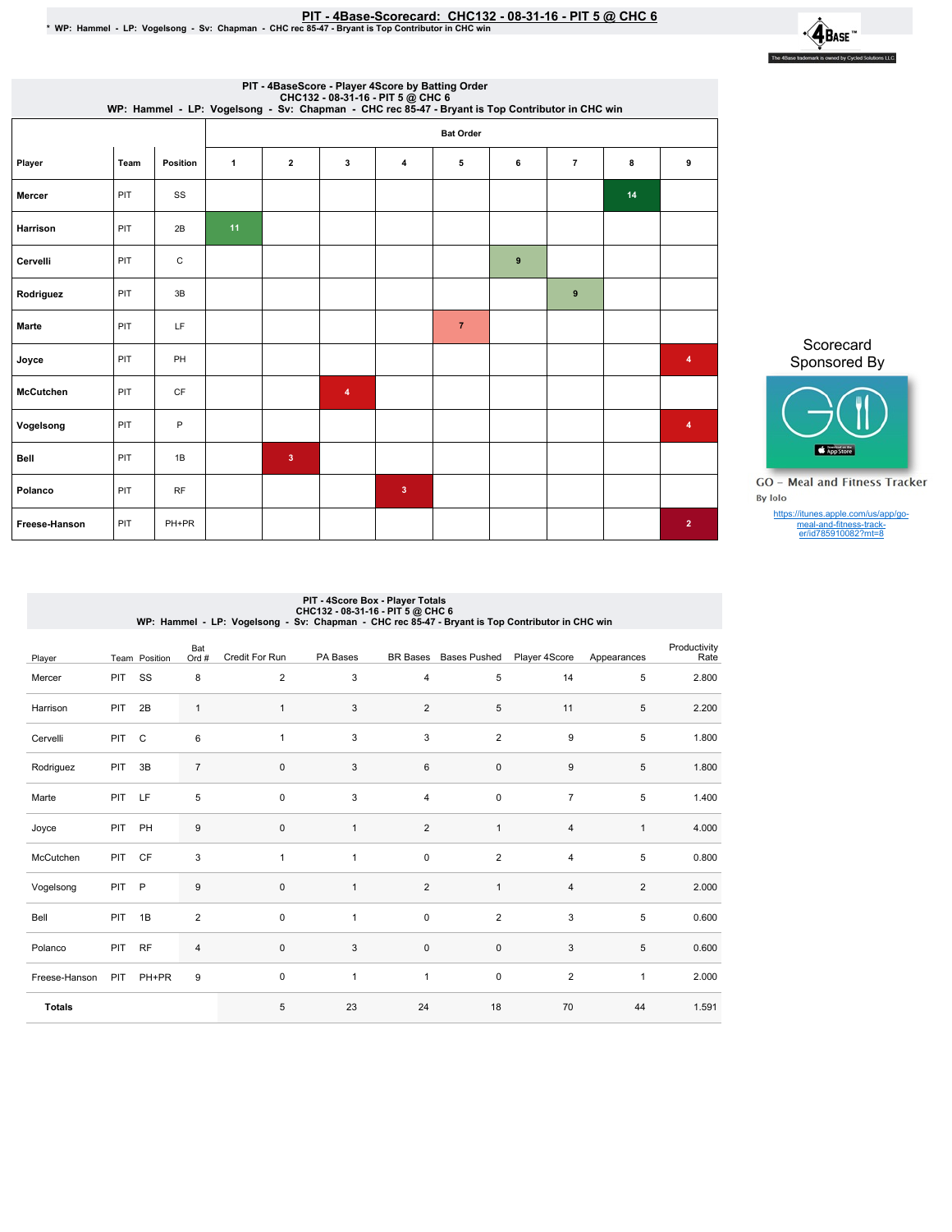# PIT - 4Base-Scorecard: CHC132 - 08-31-16 - PIT 5 @ CHC 6 .<br>\* WP: Hammel - LP: Vogelsong - Sv: Chapman - CHC rec 85-47 - Bryant is Top Contributor in CHC win \*



| PIT - 4BaseScore - Player 4Score by Batting Order<br>CHC132 - 08-31-16 - PIT 5 @ CHC 6<br>WP: Hammel - LP: Vogelsong - Sv: Chapman - CHC rec 85-47 - Bryant is Top Contributor in CHC win |      |                 |                  |                         |                         |   |                |   |                |    |                |  |  |
|-------------------------------------------------------------------------------------------------------------------------------------------------------------------------------------------|------|-----------------|------------------|-------------------------|-------------------------|---|----------------|---|----------------|----|----------------|--|--|
|                                                                                                                                                                                           |      |                 | <b>Bat Order</b> |                         |                         |   |                |   |                |    |                |  |  |
| Player                                                                                                                                                                                    | Team | <b>Position</b> | $\mathbf{1}$     | $\overline{2}$          | 3                       | 4 | 5              | 6 | $\overline{7}$ | 8  | 9              |  |  |
| Mercer                                                                                                                                                                                    | PIT  | SS              |                  |                         |                         |   |                |   |                | 14 |                |  |  |
| Harrison                                                                                                                                                                                  | PIT  | 2B              | 11               |                         |                         |   |                |   |                |    |                |  |  |
| Cervelli                                                                                                                                                                                  | PIT  | C               |                  |                         |                         |   |                | 9 |                |    |                |  |  |
| Rodriguez                                                                                                                                                                                 | PIT  | 3B              |                  |                         |                         |   |                |   | 9              |    |                |  |  |
| Marte                                                                                                                                                                                     | PIT  | LF              |                  |                         |                         |   | $\overline{7}$ |   |                |    |                |  |  |
| Joyce                                                                                                                                                                                     | PIT  | PH              |                  |                         |                         |   |                |   |                |    | 4              |  |  |
| <b>McCutchen</b>                                                                                                                                                                          | PIT  | CF              |                  |                         | $\overline{\mathbf{4}}$ |   |                |   |                |    |                |  |  |
| Vogelsong                                                                                                                                                                                 | PIT  | P               |                  |                         |                         |   |                |   |                |    | 4              |  |  |
| Bell                                                                                                                                                                                      | PIT  | 1B              |                  | $\overline{\mathbf{3}}$ |                         |   |                |   |                |    |                |  |  |
| Polanco                                                                                                                                                                                   | PIT  | <b>RF</b>       |                  |                         |                         | 3 |                |   |                |    |                |  |  |
| Freese-Hanson                                                                                                                                                                             | PIT  | PH+PR           |                  |                         |                         |   |                |   |                |    | $\overline{2}$ |  |  |

Scorecard Sponsored By



**GO** - Meal and Fitness Tracker By Iolo

https://itunes.apple.com/us/app/go-meal-and-fitness-track-er/id785910082?mt=8

# PIT - 4Score Box - Player Totals<br>CHC132 - 0B-31-16 @ CHC132-08-31<br>WP: Hammel - LP: Vogelsong - Sv: Chapman - CHC rec 85-47 - Bryant is Top Contributor in CHC win

| Player        |        | Team Position | Bat<br>Ord #            | Credit For Run | PA Bases     | <b>BR Bases</b> | <b>Bases Pushed</b> | Player 4Score  | Appearances    | Productivity<br>Rate |
|---------------|--------|---------------|-------------------------|----------------|--------------|-----------------|---------------------|----------------|----------------|----------------------|
| Mercer        | PIT SS |               | 8                       | $\overline{2}$ | 3            | $\overline{4}$  | 5                   | 14             | 5              | 2.800                |
| Harrison      | PIT    | 2B            | $\mathbf{1}$            | $\mathbf{1}$   | 3            | $\overline{2}$  | 5                   | 11             | $\,$ 5 $\,$    | 2.200                |
| Cervelli      | PIT C  |               | 6                       | 1              | 3            | 3               | $\overline{2}$      | 9              | 5              | 1.800                |
| Rodriguez     | PIT    | 3B            | $\overline{7}$          | 0              | 3            | $6\phantom{1}6$ | $\mathsf 0$         | 9              | $\overline{5}$ | 1.800                |
| Marte         | PIT LF |               | 5                       | $\mathbf 0$    | 3            | $\overline{4}$  | 0                   | $\overline{7}$ | 5              | 1.400                |
| Joyce         | PIT    | PH            | 9                       | 0              | $\mathbf{1}$ | $\overline{2}$  | $\mathbf{1}$        | 4              | $\mathbf{1}$   | 4.000                |
| McCutchen     | PIT CF |               | 3                       | $\mathbf{1}$   | $\mathbf{1}$ | $\mathbf 0$     | $\overline{2}$      | 4              | 5              | 0.800                |
| Vogelsong     | PIT P  |               | 9                       | 0              | $\mathbf{1}$ | $\overline{2}$  | $\mathbf{1}$        | 4              | $\overline{2}$ | 2.000                |
| Bell          | PIT    | 1B            | $\overline{\mathbf{c}}$ | 0              | 1            | $\mathbf 0$     | $\overline{2}$      | 3              | 5              | 0.600                |
| Polanco       | PIT RF |               | 4                       | 0              | 3            | $\pmb{0}$       | $\pmb{0}$           | 3              | $\,$ 5 $\,$    | 0.600                |
| Freese-Hanson | PIT    | PH+PR         | 9                       | 0              | 1            | $\mathbf{1}$    | $\pmb{0}$           | $\overline{2}$ | $\mathbf{1}$   | 2.000                |
| <b>Totals</b> |        |               |                         | 5              | 23           | 24              | 18                  | 70             | 44             | 1.591                |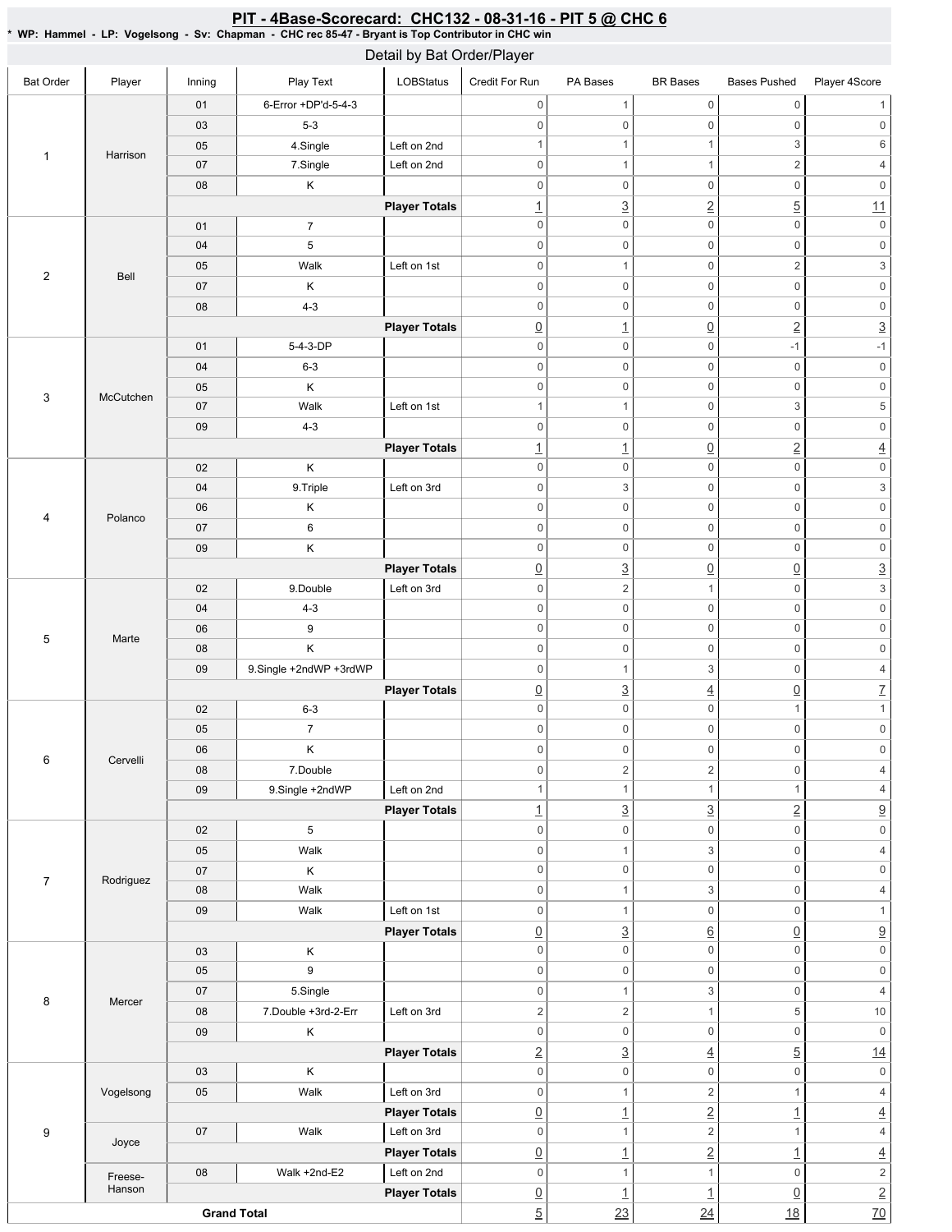#### Bat Order | Player | Inning | PlayText | LOBStatus Credit For Run PA Bases BR Bases Bases Pushed Player 4Score 1 Harrison 01 6-Error +DP'd-5-4-3 03 5-3 05 | 4.Single | Left on 2nd 07 7.Single Left on 2nd 08 K **Player Totals** 2 Bell 01 7 04 5 05 | Walk Left on 1st 07 K 08 4-3 **Player Totals** 3 McCutchen 01 5-4-3-DP 04 6-3 05 K 07 | Walk Left on 1st 09 4-3 **Player Totals** 4 Polanco 02 K 04 9.Triple Left on 3rd 06 K 07 6 09 K **Player Totals** 5 Marte 02 9.Double Left on 3rd 04 4-3 06 9 08 K 09 9.Single +2ndWP +3rdWP **Player Totals** 6 Cervelli 02 6-3 05 7 06 K 08 7.Double 09 | 9.Single +2ndWP | Left on 2nd **Player Totals** 7 Rodriguez 02 5 05 | Walk 07 K 08 | Walk 09 | Walk Left on 1st **Player Totals** 8 Mercer 03 K 05 9 07 | 5.Single 08 7.Double +3rd-2-Err Left on 3rd 09 K **Player Totals** 9 Vogelsong 03 K 05 | Walk Left on 3rd **Player Totals** Joyce 07 | Walk Left on 3rd **Player Totals** Freese-Hanson 08 | Walk +2nd-E2 | Left on 2nd **Player Totals Grand Total** 0 0 1 0 1 0 0 0 0 0 0 1 1 1 3 6 0 1 1  $1$  2 4 0 0 0 0 0 0 1  $\frac{3}{2}$   $\frac{2}{5}$   $\frac{5}{11}$ 0 0 0 0 0 0 0 0 0 0 0 0 0 1 0 2 3 0 0 0 0 0 0 0 0 0 0 0 0 0 1 0 2 3 0 0 -1 -1 0 0 0 0 0 0 0 0 0 0 0 0 1 1 0 3 5 0 0 0 0 0 0 1  $\begin{array}{ccc} 1 & 1 & 0 & 2 & 4 \end{array}$ 0 0 0 0 0 0  $0 \qquad \qquad 3 \qquad \qquad 0 \qquad \qquad 0 \qquad \qquad 3$ 0 0 0 0 0 0 0 0 0 0 0 0 0 0 0 0 0 0  $\boxed{0}$   $\boxed{0}$   $\boxed{0}$   $\boxed{3}$ 0 2 1 0 3 0 0 0 0 0 0 0 0 0 0 0 0 0 0 0 0 0 0 0 1 3 0 4  $\boxed{0}$   $\boxed{3}$   $\boxed{4}$   $\boxed{0}$   $\boxed{7}$ 0 0 1 1 1 0 0 0 0 0 0 0 0 0 0 0 0  $0 \qquad \qquad 2 \qquad \qquad 2 \qquad \qquad 0 \qquad \qquad 4$ 1 1 1 1  $1$  4  $\frac{1}{2}$   $\frac{3}{2}$   $\frac{2}{2}$   $\frac{9}{2}$ 0 0 0 0 0 0 0 1 3 0 4 0 0 0 0 0 0 0 1 3 0 4 0 0 0 1 0 3 6 0 9 0 0 0 0 0 0 0 0 0 0 0 0 0 1 3 0 4 2 2 1 5 10 0 0 0 0 0 0 2 3 4 5 14 0 0 0 0 0 0 0 1 2 1 4  $\boxed{0}$  1  $\boxed{2}$  1  $\boxed{1}$ 0 1 2 1 4 0 1 2 1 4 0 1 1 0 2  $\boxed{0}$  1  $\boxed{1}$   $\boxed{0}$  2  $\frac{5}{2}$  23 24 18 70 Detail by Bat Order/Player

### <u>PIT - 4Base-Scorecard: CHC132 - 08-31-16 - PIT 5 @ CHC 6</u>

\* WP: Hammel - LP: Vogelsong - Sv: Chapman - CHC rec 85-47 - Bryant is Top Contributor in CHC win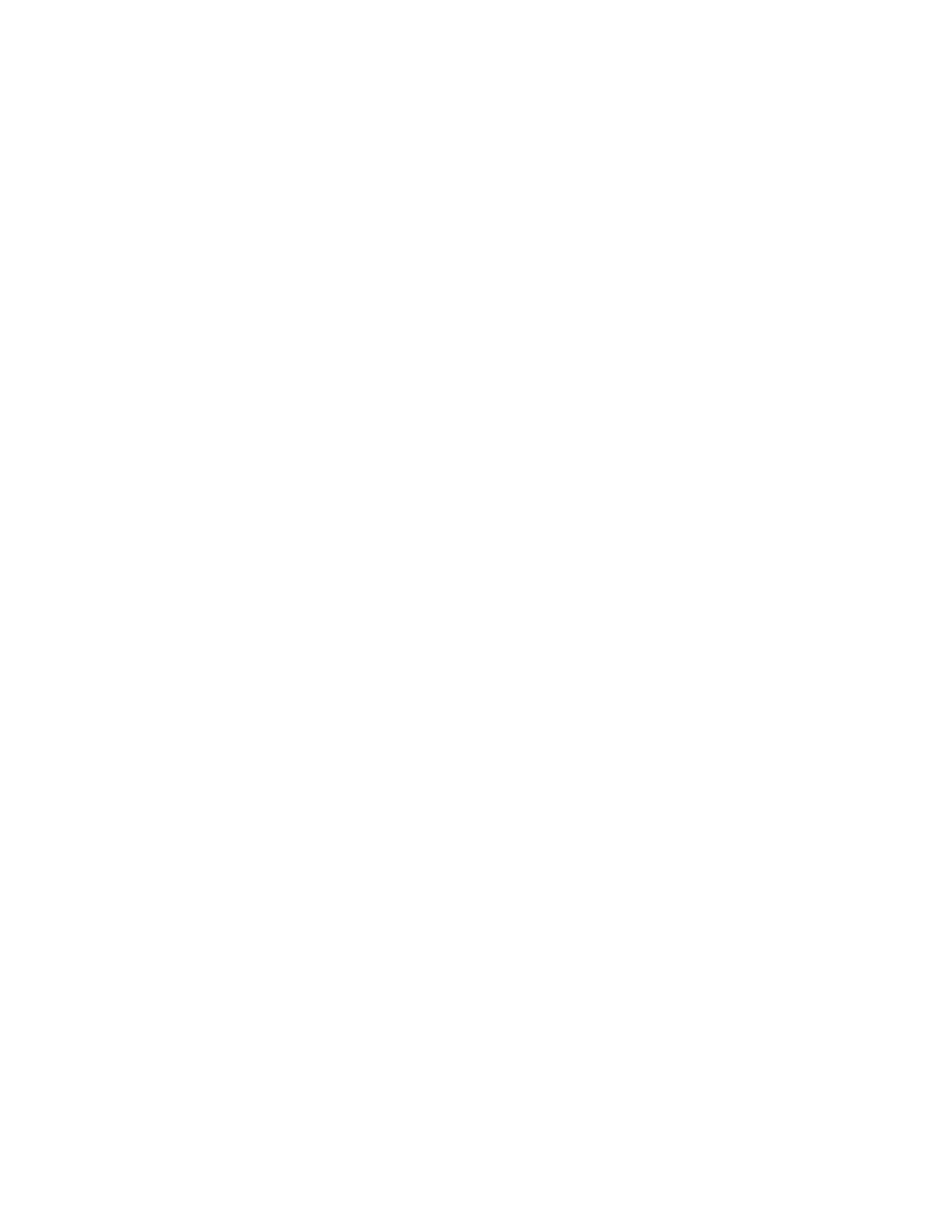|                |      |                              | 3,7                                                      | $8 + 8$ |  | %DVH6FRUH 30D HU 6FRUHE\%DWLQJ2 UGHU<br>$3,7$ # $8+8$ |  |                                           |  |  |  |
|----------------|------|------------------------------|----------------------------------------------------------|---------|--|-------------------------------------------------------|--|-------------------------------------------|--|--|--|
|                |      |                              | : $3 + DPPHO$ / $3$ $9$ RJHOVRQJ $6Y$ & KDSPDQ $8+8$ UHF |         |  |                                                       |  | % UDQ ANY 7 RS & RQ AMEX MRULD & + & Z LD |  |  |  |
|                |      |                              | %DW2 UGHU                                                |         |  |                                                       |  |                                           |  |  |  |
| 300 HU         | 7HDP | 3 RVIMRQ                     |                                                          |         |  |                                                       |  |                                           |  |  |  |
| 0 HJFHU        | 3,7  | 66                           |                                                          |         |  |                                                       |  |                                           |  |  |  |
| + DULLVRQ      | 3,7  | $\%$                         |                                                          |         |  |                                                       |  |                                           |  |  |  |
| & HUYHOOL      | 3,7  | &                            |                                                          |         |  |                                                       |  |                                           |  |  |  |
| 5 RGLUXH       | 3,7  | $\%$                         |                                                          |         |  |                                                       |  |                                           |  |  |  |
| 0 DUM          | 3,7  | $\left( \frac{1}{2} \right)$ |                                                          |         |  |                                                       |  |                                           |  |  |  |
| $-R\$ FH       | 3,7  | $3+$                         |                                                          |         |  |                                                       |  |                                           |  |  |  |
| 0 F&XWFKHQ     | 3,7  | &)                           |                                                          |         |  |                                                       |  |                                           |  |  |  |
| 9 RJ HOVROJ    | 3,7  | 3                            |                                                          |         |  |                                                       |  |                                           |  |  |  |
| %HOD           | 3,7  | %                            |                                                          |         |  |                                                       |  |                                           |  |  |  |
| 3 RODOFR       | 3,7  | 5)                           |                                                          |         |  |                                                       |  |                                           |  |  |  |
| ) UHMH + DQVRQ | 3,7  | $3 + 35$                     |                                                          |         |  |                                                       |  |                                           |  |  |  |



<u>KWOSY WACHYDSSORIERP XYDSSJR</u><br>PHDODOGILWOHAYWOUEN<br>HULG "PW"

|                                 |                |              |                        | $8 + 8$ |  | 3,7 6 FRUH%R[ 300\HU7RWDOV<br>$3,7$ # $8+8$ |                                                                                                    |                     |
|---------------------------------|----------------|--------------|------------------------|---------|--|---------------------------------------------|----------------------------------------------------------------------------------------------------|---------------------|
|                                 |                |              |                        |         |  |                                             | : $3 + DPPHO$ / $3$ $9$ RJHOVRQJ $6Y$ & KDSPDQ $8+8$ UHF $\%$ UJDQWLV 7 RS & RQMLEXWRULQ & + & ZLQ |                     |
| 30MHU                           |                | 7HDP 3RVMMRQ | %DW<br>$2 \, \text{L}$ |         |  |                                             | & UHGLV) RUSXQ 3\$%DVHV %6%DVHV %DVHV3XVKHG 3001 HU 6 FRUH \$SSHDUDGFHV                            | 3 URGXFWYUW<br>5 DM |
| 0 HJHJ                          | 3.766          |              |                        |         |  |                                             |                                                                                                    |                     |
| + DUILVRQ                       | 3.7%           |              |                        |         |  |                                             |                                                                                                    |                     |
| & HUYHOO.                       | $3.7 \&$       |              |                        |         |  |                                             |                                                                                                    |                     |
| 5 RGUUXH                        | 3.7%           |              |                        |         |  |                                             |                                                                                                    |                     |
| 0 DUM                           | $3,7$ ()       |              |                        |         |  |                                             |                                                                                                    |                     |
| - R FH                          | $3.7 \quad 3+$ |              |                        |         |  |                                             |                                                                                                    |                     |
| 0 F&XMFKHQ                      | $3,7$ &)       |              |                        |         |  |                                             |                                                                                                    |                     |
| 9 RJ HORQJ                      | $3,7$ 3        |              |                        |         |  |                                             |                                                                                                    |                     |
| %HOO                            | 3.7%           |              |                        |         |  |                                             |                                                                                                    |                     |
| 3 RODOFR                        | 3,7,5)         |              |                        |         |  |                                             |                                                                                                    |                     |
| ) UHHMH + DQMRQ   3,7   3+   35 |                |              |                        |         |  |                                             |                                                                                                    |                     |
| 7RWDOV                          |                |              |                        |         |  |                                             |                                                                                                    |                     |
|                                 |                |              |                        |         |  |                                             |                                                                                                    |                     |